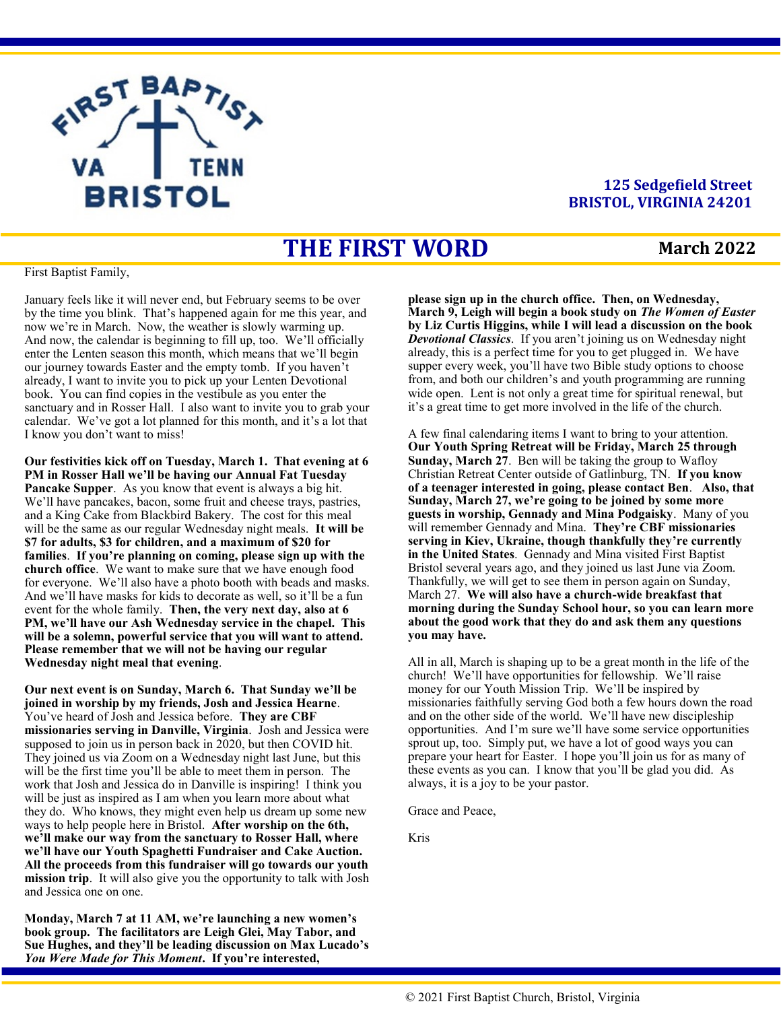

#### **125 Sedgefield Street BRISTOL, VIRGINIA 24201**

# **THE FIRST WORD**

#### **March 2022**

First Baptist Family,

January feels like it will never end, but February seems to be over by the time you blink. That's happened again for me this year, and now we're in March. Now, the weather is slowly warming up. And now, the calendar is beginning to fill up, too. We'll officially enter the Lenten season this month, which means that we'll begin our journey towards Easter and the empty tomb. If you haven't already, I want to invite you to pick up your Lenten Devotional book. You can find copies in the vestibule as you enter the sanctuary and in Rosser Hall. I also want to invite you to grab your calendar. We've got a lot planned for this month, and it's a lot that I know you don't want to miss!

**Our festivities kick off on Tuesday, March 1. That evening at 6 PM in Rosser Hall we'll be having our Annual Fat Tuesday Pancake Supper**. As you know that event is always a big hit. We'll have pancakes, bacon, some fruit and cheese trays, pastries, and a King Cake from Blackbird Bakery. The cost for this meal will be the same as our regular Wednesday night meals. **It will be \$7 for adults, \$3 for children, and a maximum of \$20 for families**. **If you're planning on coming, please sign up with the church office**. We want to make sure that we have enough food for everyone. We'll also have a photo booth with beads and masks. And we'll have masks for kids to decorate as well, so it'll be a fun event for the whole family. **Then, the very next day, also at 6 PM, we'll have our Ash Wednesday service in the chapel. This will be a solemn, powerful service that you will want to attend. Please remember that we will not be having our regular Wednesday night meal that evening**.

**Our next event is on Sunday, March 6. That Sunday we'll be joined in worship by my friends, Josh and Jessica Hearne**. You've heard of Josh and Jessica before. **They are CBF missionaries serving in Danville, Virginia**. Josh and Jessica were supposed to join us in person back in 2020, but then COVID hit. They joined us via Zoom on a Wednesday night last June, but this will be the first time you'll be able to meet them in person. The work that Josh and Jessica do in Danville is inspiring! I think you will be just as inspired as I am when you learn more about what they do. Who knows, they might even help us dream up some new ways to help people here in Bristol. **After worship on the 6th, we'll make our way from the sanctuary to Rosser Hall, where we'll have our Youth Spaghetti Fundraiser and Cake Auction. All the proceeds from this fundraiser will go towards our youth mission trip**. It will also give you the opportunity to talk with Josh and Jessica one on one.

**Monday, March 7 at 11 AM, we're launching a new women's book group. The facilitators are Leigh Glei, May Tabor, and Sue Hughes, and they'll be leading discussion on Max Lucado's**  *You Were Made for This Moment***. If you're interested,** 

**please sign up in the church office. Then, on Wednesday, March 9, Leigh will begin a book study on** *The Women of Easter* **by Liz Curtis Higgins, while I will lead a discussion on the book**  *Devotional Classics*. If you aren't joining us on Wednesday night already, this is a perfect time for you to get plugged in. We have supper every week, you'll have two Bible study options to choose from, and both our children's and youth programming are running wide open. Lent is not only a great time for spiritual renewal, but it's a great time to get more involved in the life of the church.

A few final calendaring items I want to bring to your attention. **Our Youth Spring Retreat will be Friday, March 25 through Sunday, March 27**. Ben will be taking the group to Wafloy Christian Retreat Center outside of Gatlinburg, TN. **If you know of a teenager interested in going, please contact Ben**. **Also, that Sunday, March 27, we're going to be joined by some more guests in worship, Gennady and Mina Podgaisky**. Many of you will remember Gennady and Mina. **They're CBF missionaries serving in Kiev, Ukraine, though thankfully they're currently in the United States**. Gennady and Mina visited First Baptist Bristol several years ago, and they joined us last June via Zoom. Thankfully, we will get to see them in person again on Sunday, March 27. **We will also have a church-wide breakfast that morning during the Sunday School hour, so you can learn more about the good work that they do and ask them any questions you may have.** 

All in all, March is shaping up to be a great month in the life of the church! We'll have opportunities for fellowship. We'll raise money for our Youth Mission Trip. We'll be inspired by missionaries faithfully serving God both a few hours down the road and on the other side of the world. We'll have new discipleship opportunities. And I'm sure we'll have some service opportunities sprout up, too. Simply put, we have a lot of good ways you can prepare your heart for Easter. I hope you'll join us for as many of these events as you can. I know that you'll be glad you did. As always, it is a joy to be your pastor.

Grace and Peace,

Kris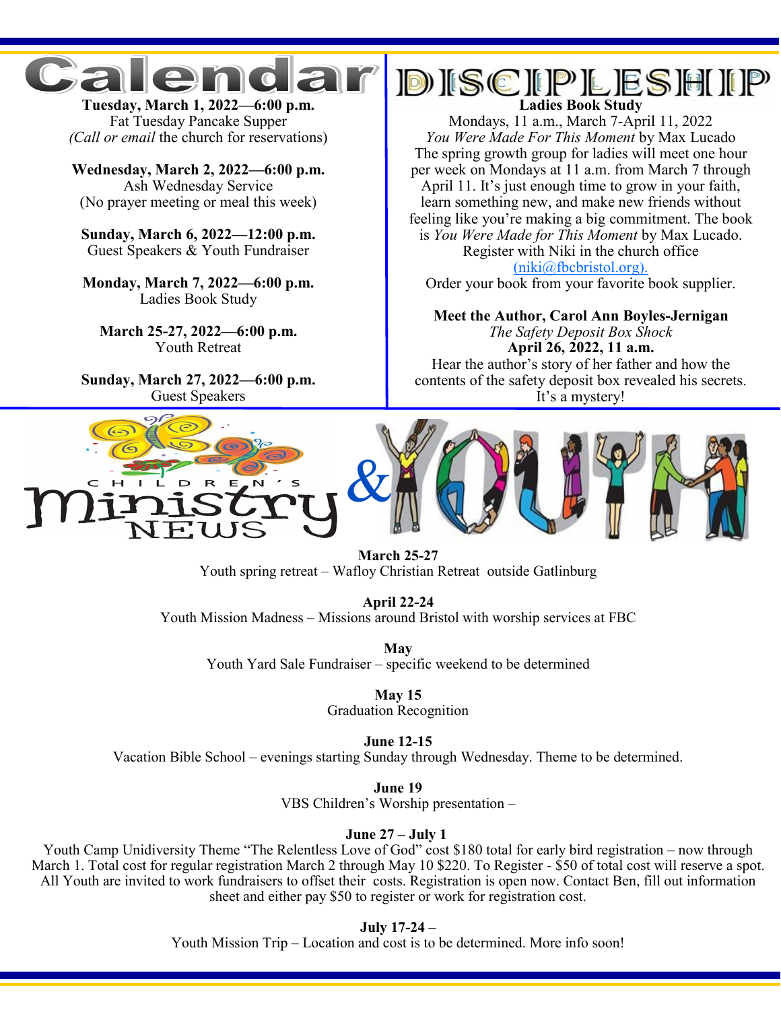

**Tuesday, March 1, 2022—6:00 p.m.** Fat Tuesday Pancake Supper *(Call or email* the church for reservations)

**Wednesday, March 2, 2022—6:00 p.m.**  Ash Wednesday Service (No prayer meeting or meal this week)

**Sunday, March 6, 2022—12:00 p.m.**  Guest Speakers & Youth Fundraiser

**Monday, March 7, 2022—6:00 p.m.** Ladies Book Study

**March 25-27, 2022—6:00 p.m.**  Youth Retreat

**Sunday, March 27, 2022—6:00 p.m.**  Guest Speakers

# **DISCIPLESHIP**

Mondays, 11 a.m., March 7-April 11, 2022 *You Were Made For This Moment* by Max Lucado The spring growth group for ladies will meet one hour per week on Mondays at 11 a.m. from March 7 through April 11. It's just enough time to grow in your faith, learn something new, and make new friends without feeling like you're making a big commitment. The book is *You Were Made for This Moment* by Max Lucado. Register with Niki in the church office [\(niki@fbcbristol.org\).](mailto:niki@fbcbristol.org) 

Order your book from your favorite book supplier.

**Meet the Author, Carol Ann Boyles-Jernigan** *The Safety Deposit Box Shock* **April 26, 2022, 11 a.m.** Hear the author's story of her father and how the contents of the safety deposit box revealed his secrets. It's a mystery!



**March 25-27**  Youth spring retreat – Wafloy Christian Retreat outside Gatlinburg

**April 22-24**  Youth Mission Madness – Missions around Bristol with worship services at FBC

**May**  Youth Yard Sale Fundraiser – specific weekend to be determined

> **May 15**  Graduation Recognition

> > **June 12-15**

Vacation Bible School – evenings starting Sunday through Wednesday. Theme to be determined.

**June 19**  VBS Children's Worship presentation –

**June 27 – July 1**

Youth Camp Unidiversity Theme "The Relentless Love of God" cost \$180 total for early bird registration – now through March 1. Total cost for regular registration March 2 through May 10 \$220. To Register - \$50 of total cost will reserve a spot. All Youth are invited to work fundraisers to offset their costs. Registration is open now. Contact Ben, fill out information sheet and either pay \$50 to register or work for registration cost.

**July 17-24 –**

Youth Mission Trip – Location and cost is to be determined. More info soon!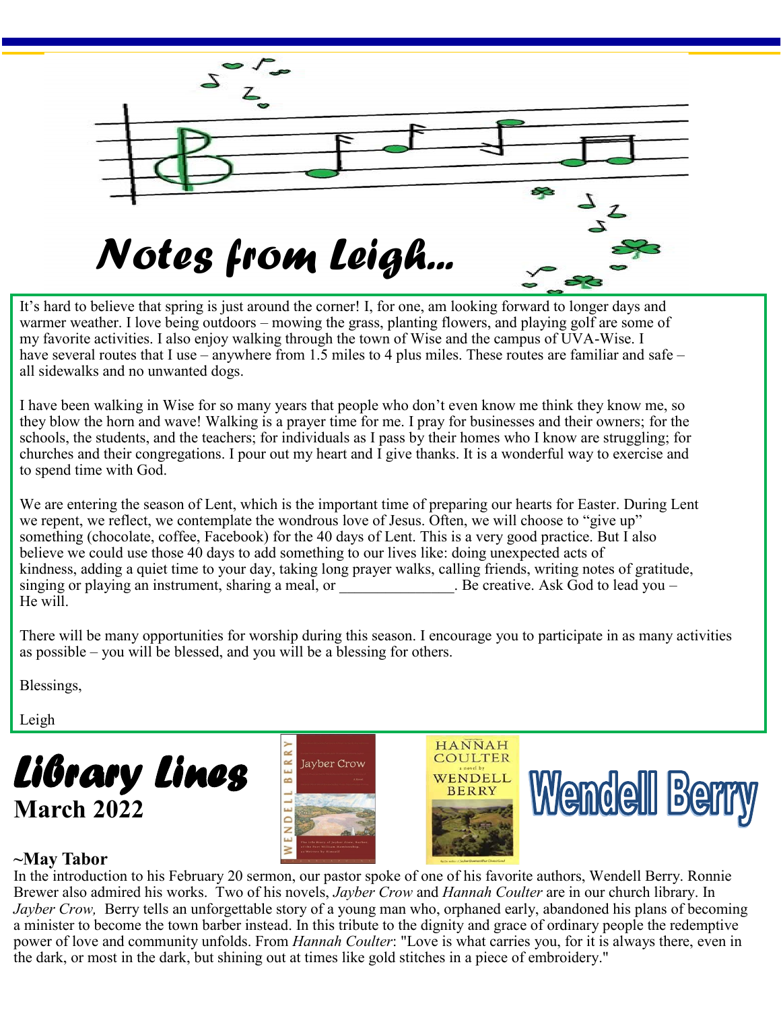

It's hard to believe that spring is just around the corner! I, for one, am looking forward to longer days and warmer weather. I love being outdoors – mowing the grass, planting flowers, and playing golf are some of my favorite activities. I also enjoy walking through the town of Wise and the campus of UVA-Wise. I have several routes that I use – anywhere from 1.5 miles to 4 plus miles. These routes are familiar and safe – all sidewalks and no unwanted dogs.

I have been walking in Wise for so many years that people who don't even know me think they know me, so they blow the horn and wave! Walking is a prayer time for me. I pray for businesses and their owners; for the schools, the students, and the teachers; for individuals as I pass by their homes who I know are struggling; for churches and their congregations. I pour out my heart and I give thanks. It is a wonderful way to exercise and to spend time with God.

We are entering the season of Lent, which is the important time of preparing our hearts for Easter. During Lent we repent, we reflect, we contemplate the wondrous love of Jesus. Often, we will choose to "give up" something (chocolate, coffee, Facebook) for the 40 days of Lent. This is a very good practice. But I also believe we could use those 40 days to add something to our lives like: doing unexpected acts of kindness, adding a quiet time to your day, taking long prayer walks, calling friends, writing notes of gratitude, singing or playing an instrument, sharing a meal, or <br>Be creative. Ask God to lead you – He will.

There will be many opportunities for worship during this season. I encourage you to participate in as many activities as possible – you will be blessed, and you will be a blessing for others.

Blessings,

Leigh









### **~May Tabor**

In the introduction to his February 20 sermon, our pastor spoke of one of his favorite authors, Wendell Berry. Ronnie Brewer also admired his works. Two of his novels, *Jayber Crow* and *Hannah Coulter* are in our church library. In *Jayber Crow,* Berry tells an unforgettable story of a young man who, orphaned early, abandoned his plans of becoming a minister to become the town barber instead. In this tribute to the dignity and grace of ordinary people the redemptive power of love and community unfolds. From *Hannah Coulter*: "Love is what carries you, for it is always there, even in the dark, or most in the dark, but shining out at times like gold stitches in a piece of embroidery."